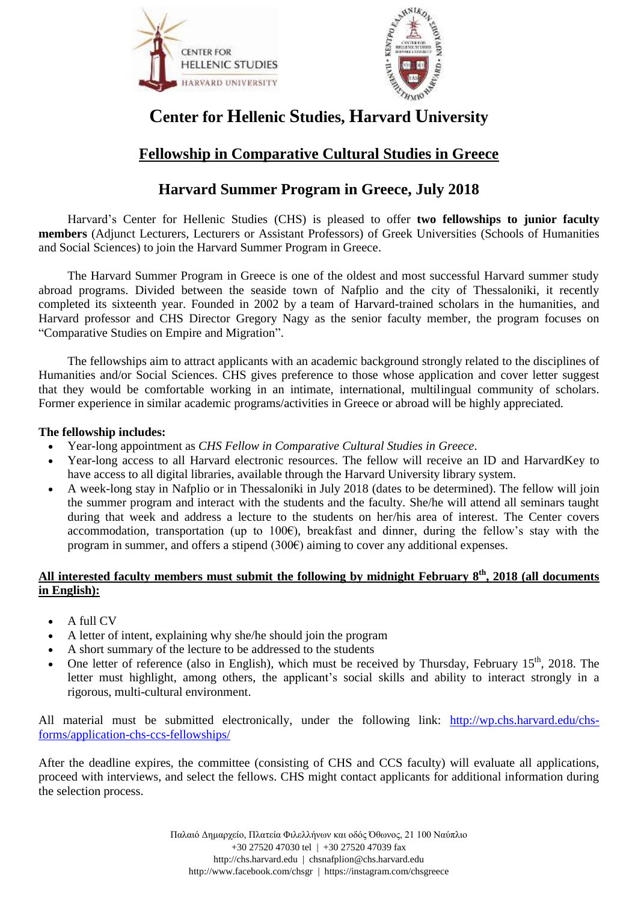



# **Center for Hellenic Studies, Harvard University**

# **Fellowship in Comparative Cultural Studies in Greece**

# **Harvard Summer Program in Greece, July 2018**

Harvard's Center for Hellenic Studies (CHS) is pleased to offer **two fellowships to junior faculty members** (Adjunct Lecturers, Lecturers or Assistant Professors) of Greek Universities (Schools of Humanities and Social Sciences) to join the Harvard Summer Program in Greece.

The Harvard Summer Program in Greece is one of the oldest and most successful Harvard summer study abroad programs. Divided between the seaside town of Nafplio and the city of Thessaloniki, it recently completed its sixteenth year. Founded in 2002 by a team of Harvard-trained scholars in the humanities, and Harvard professor and CHS Director Gregory Nagy as the senior faculty member, the program focuses on "Comparative Studies on Empire and Migration".

The fellowships aim to attract applicants with an academic background strongly related to the disciplines of Humanities and/or Social Sciences. CHS gives preference to those whose application and cover letter suggest that they would be comfortable working in an intimate, international, multilingual community of scholars. Former experience in similar academic programs/activities in Greece or abroad will be highly appreciated.

#### **The fellowship includes:**

- Year-long appointment as *CHS Fellow in Comparative Cultural Studies in Greece*.
- Year-long access to all Harvard electronic resources. The fellow will receive an ID and HarvardKey to have access to all digital libraries, available through the Harvard University library system.
- A week-long stay in Nafplio or in Thessaloniki in July 2018 (dates to be determined). The fellow will join the summer program and interact with the students and the faculty. She/he will attend all seminars taught during that week and address a lecture to the students on her/his area of interest. The Center covers accommodation, transportation (up to 100 $\epsilon$ ), breakfast and dinner, during the fellow's stay with the program in summer, and offers a stipend  $(300\epsilon)$  aiming to cover any additional expenses.

#### **All interested faculty members must submit the following by midnight February 8 th, 2018 (all documents in English):**

- A full CV
- A letter of intent, explaining why she/he should join the program
- A short summary of the lecture to be addressed to the students
- One letter of reference (also in English), which must be received by Thursday, February  $15<sup>th</sup>$ , 2018. The letter must highlight, among others, the applicant's social skills and ability to interact strongly in a rigorous, multi-cultural environment.

All material must be submitted electronically, under the following link: [http://wp.chs.harvard.edu/chs](http://wp.chs.harvard.edu/chs-forms/application-chs-ccs-fellowships/)[forms/application-chs-ccs-fellowships/](http://wp.chs.harvard.edu/chs-forms/application-chs-ccs-fellowships/)

After the deadline expires, the committee (consisting of CHS and CCS faculty) will evaluate all applications, proceed with interviews, and select the fellows. CHS might contact applicants for additional information during the selection process.